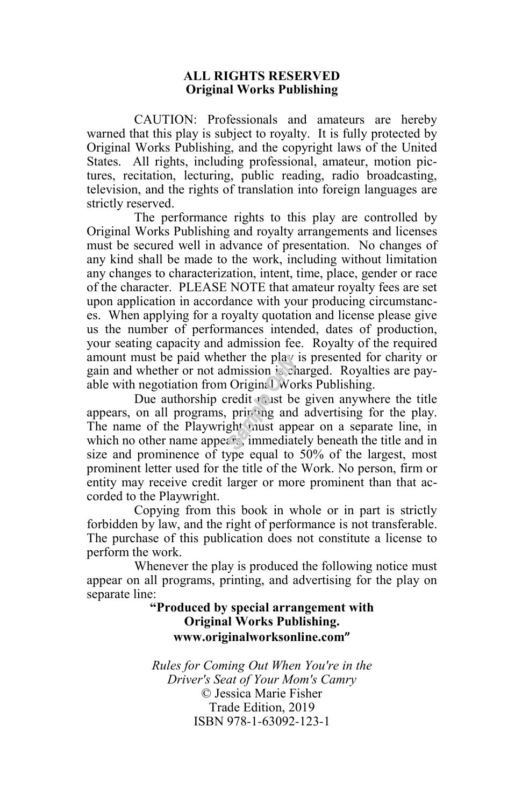#### **ALL RIGHTS RESERVED Original Works Publishing**

CAUTION: Professionals and amateurs are hereby warned that this play is subject to royalty. It is fully protected by Original Works Publishing, and the copyright laws of the United States. All rights, including professional, amateur, motion pictures, recitation, lecturing, public reading, radio broadcasting, television, and the rights of translation into foreign languages are strictly reserved.

The performance rights to this play are controlled by Original Works Publishing and royalty arrangements and licenses must be secured well in advance of presentation. No changes of any kind shall be made to the work, including without limitation any changes to characterization, intent, time, place, gender or race of the character. PLEASE NOTE that amateur royalty fees are set upon application in accordance with your producing circumstances. When applying for a royalty quotation and license please give us the number of performances intended, dates of production, your seating capacity and admission fee. Royalty of the required amount must be paid whether the play is presented for charity or gain and whether or not admission is charged. Royalties are payable with negotiation from Original Works Publishing.

Due authorship credit must be given anywhere the title appears, on all programs, printing and advertising for the play. The name of the Playwright must appear on a separate line, in which no other name appears, immediately beneath the title and in size and prominence of type equal to 50% of the largest, most prominent letter used for the title of the Work. No person, firm or entity may receive credit larger or more prominent than that accorded to the Playwright.

Copying from this book in whole or in part is strictly forbidden by law, and the right of performance is not transferable. The purchase of this publication does not constitute a license to perform the work.

Whenever the play is produced the following notice must appear on all programs, printing, and advertising for the play on separate line:

#### **"Produced by special arrangement with Original Works Publishing. www.originalworksonline.com"**

*Rules for Coming Out When You're in the Driver's Seat of Your Mom's Camry* © Jessica Marie Fisher Trade Edition, 2019 ISBN 978-1-63092-123-1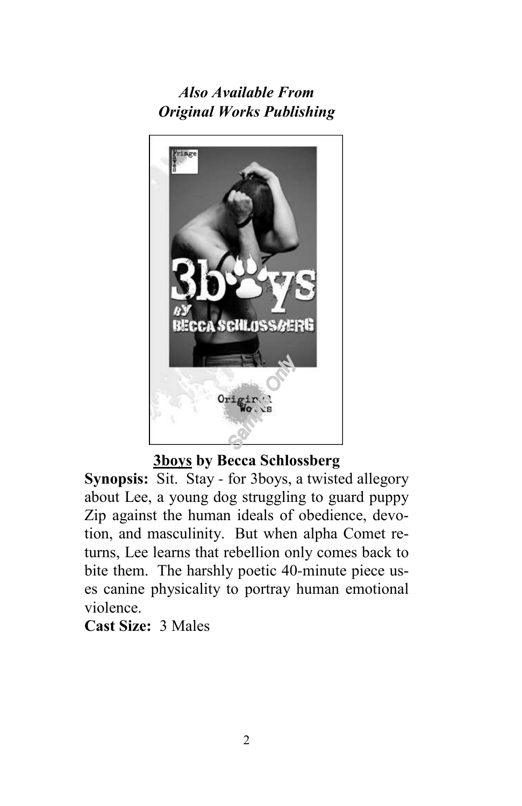## *Also Available From Original Works Publishing*



## **3boys by Becca Schlossberg**

**Synopsis:** Sit. Stay - for 3boys, a twisted allegory about Lee, a young dog struggling to guard puppy Zip against the human ideals of obedience, devotion, and masculinity. But when alpha Comet returns, Lee learns that rebellion only comes back to bite them. The harshly poetic 40-minute piece uses canine physicality to portray human emotional violence.

## **Cast Size:** 3 Males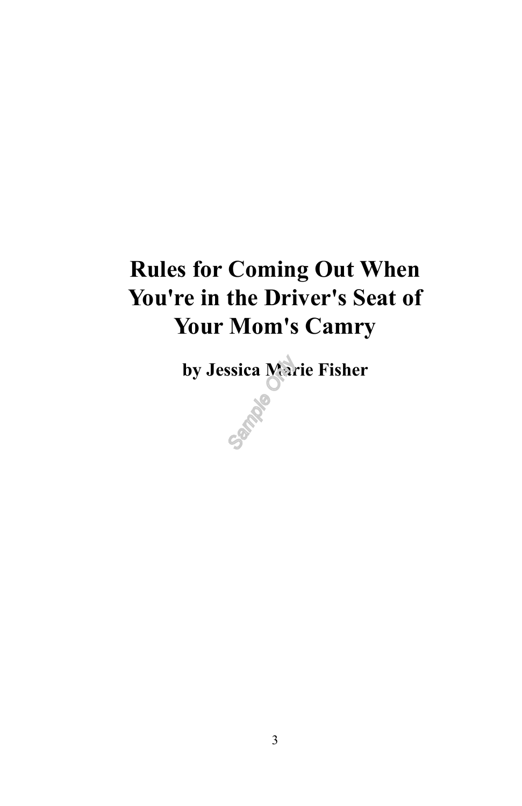# **Rules for Coming Out When You're in the Driver's Seat of Your Mom's Camry**

**by Jessica Marie Fisher**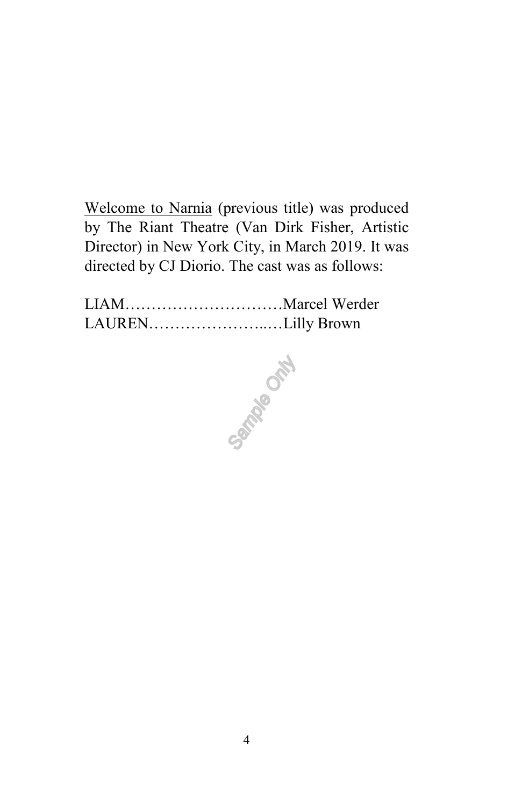Welcome to Narnia (previous title) was produced by The Riant Theatre (Van Dirk Fisher, Artistic Director) in New York City, in March 2019. It was directed by CJ Diorio. The cast was as follows:

LIAM…………………………Marcel Werder LAUREN…………………..…Lilly Brown

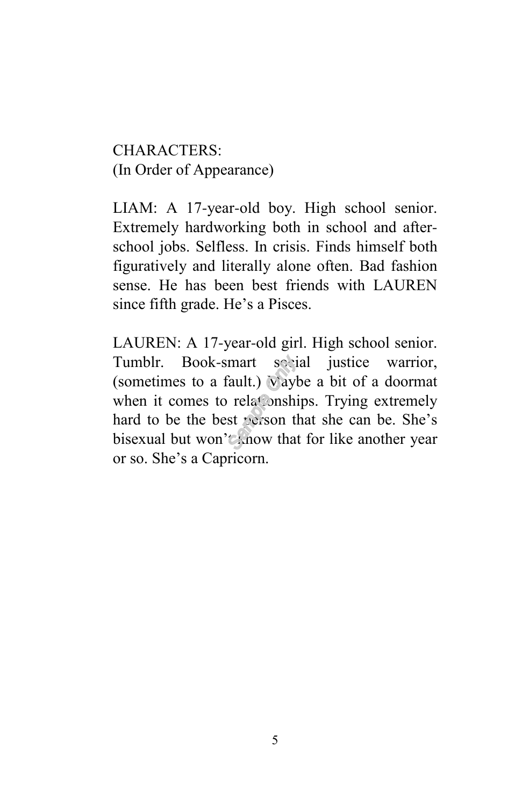CHARACTERS: (In Order of Appearance)

LIAM: A 17-year-old boy. High school senior. Extremely hardworking both in school and afterschool jobs. Selfless. In crisis. Finds himself both figuratively and literally alone often. Bad fashion sense. He has been best friends with LAUREN since fifth grade. He's a Pisces.

LAUREN: A 17-year-old girl. High school senior. Tumblr. Book-smart social justice warrior, (sometimes to a fault.) Waybe a bit of a doormat when it comes to relationships. Trying extremely hard to be the best person that she can be. She's bisexual but won't know that for like another year or so. She's a Capricorn.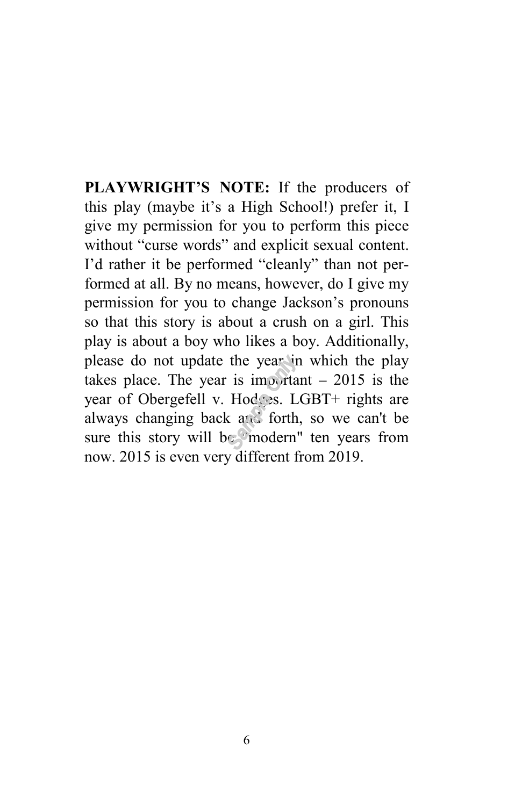**PLAYWRIGHT'S NOTE:** If the producers of this play (maybe it's a High School!) prefer it, I give my permission for you to perform this piece without "curse words" and explicit sexual content. I'd rather it be performed "cleanly" than not performed at all. By no means, however, do I give my permission for you to change Jackson's pronouns so that this story is about a crush on a girl. This play is about a boy who likes a boy. Additionally, please do not update the year in which the play takes place. The year is important  $-2015$  is the year of Obergefell v. Hodges. LGBT+ rights are always changing back and forth, so we can't be sure this story will be "modern" ten years from now. 2015 is even very different from 2019.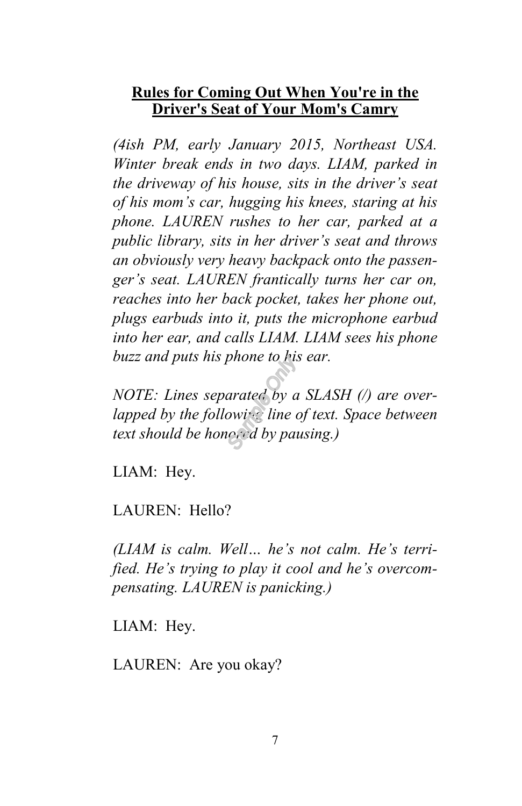## **Rules for Coming Out When You're in the Driver's Seat of Your Mom's Camry**

*(4ish PM, early January 2015, Northeast USA. Winter break ends in two days. LIAM, parked in the driveway of his house, sits in the driver's seat of his mom's car, hugging his knees, staring at his phone. LAUREN rushes to her car, parked at a public library, sits in her driver's seat and throws an obviously very heavy backpack onto the passenger's seat. LAUREN frantically turns her car on, reaches into her back pocket, takes her phone out, plugs earbuds into it, puts the microphone earbud into her ear, and calls LIAM. LIAM sees his phone buzz and puts his phone to his ear.*

*NOTE: Lines separated by a SLASH (/) are overlapped by the following line of text. Space between text should be honored by pausing.)*

LIAM: Hey.

LAUREN: Hello?

*(LIAM is calm. Well… he's not calm. He's terrified. He's trying to play it cool and he's overcompensating. LAUREN is panicking.)*

LIAM: Hey.

LAUREN: Are you okay?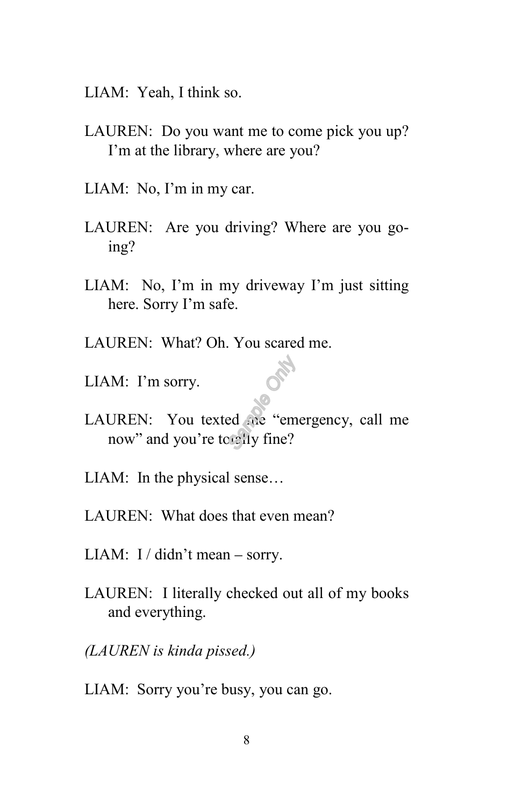- LIAM: Yeah, I think so.
- LAUREN: Do you want me to come pick you up? I'm at the library, where are you?
- LIAM: No, I'm in my car.
- LAUREN: Are you driving? Where are you going?
- LIAM: No, I'm in my driveway I'm just sitting here. Sorry I'm safe.
- LAUREN: What? Oh. You scared me.
- LIAM: I'm sorry.
- LAUREN: You texted me "emergency, call me now" and you're totally fine?
- LIAM: In the physical sense…
- LAUREN: What does that even mean?
- LIAM:  $I / \text{d}$ idn't mean sorry.
- LAUREN: I literally checked out all of my books and everything.
- *(LAUREN is kinda pissed.)*
- LIAM: Sorry you're busy, you can go.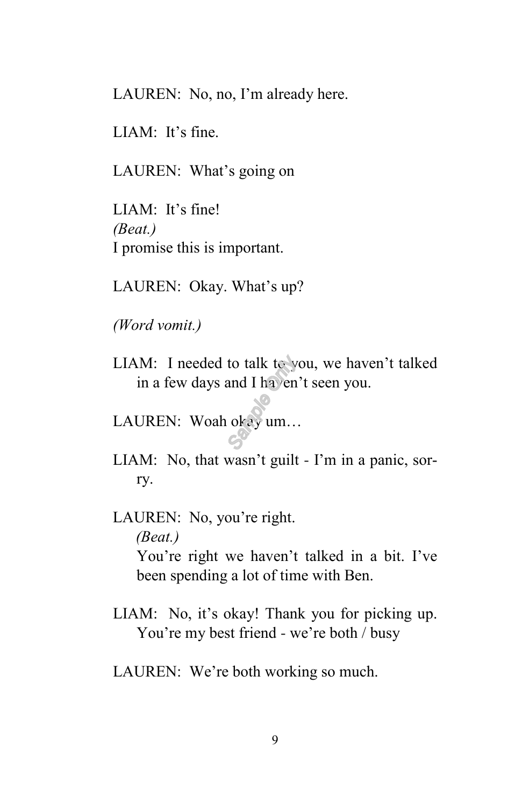LAUREN: No, no, I'm already here.

LIAM: It's fine.

LAUREN: What's going on

LIAM: It's fine! *(Beat.)* I promise this is important.

LAUREN: Okay. What's up?

*(Word vomit.)*

LIAM: I needed to talk to you, we haven't talked in a few days and I haven't seen you.

LAUREN: Woah okay um…

- LIAM: No, that wasn't guilt I'm in a panic, sorry.
- LAUREN: No, you're right. *(Beat.)* You're right we haven't talked in a bit. I've been spending a lot of time with Ben.
- LIAM: No, it's okay! Thank you for picking up. You're my best friend - we're both / busy
- LAUREN: We're both working so much.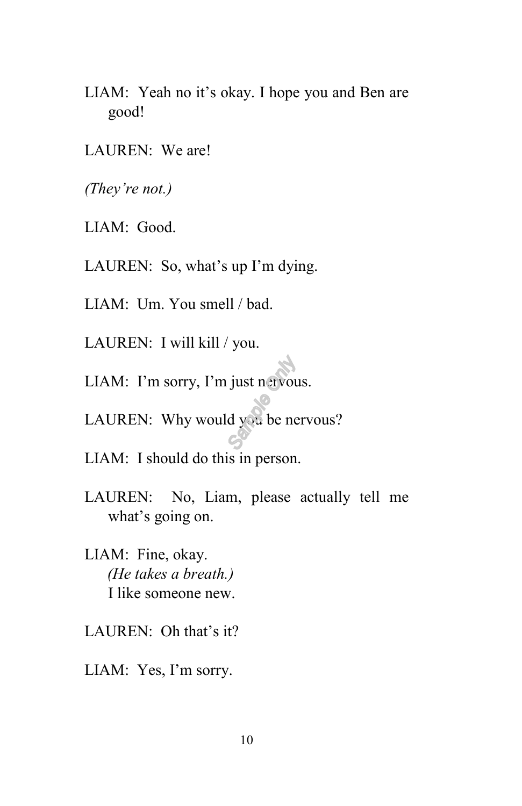LIAM: Yeah no it's okay. I hope you and Ben are good!

LAUREN: We are!

*(They're not.)*

LIAM: Good.

LAUREN: So, what's up I'm dying.

LIAM: Um. You smell / bad.

LAUREN: I will kill / you.

LIAM: I'm sorry, I'm just nervous.

LAUREN: Why would you be nervous?

LIAM: I should do this in person.

- LAUREN: No, Liam, please actually tell me what's going on.
- LIAM: Fine, okay. *(He takes a breath.)* I like someone new.
- LAUREN: Oh that's it?
- LIAM: Yes, I'm sorry.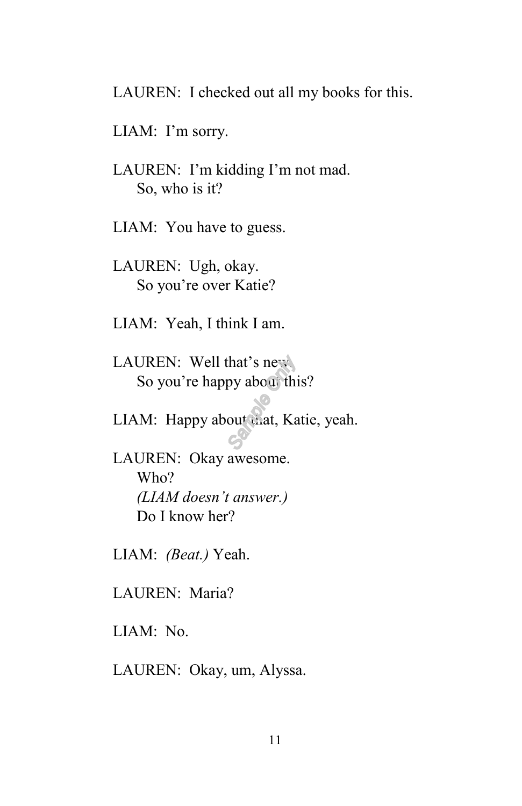LAUREN: I checked out all my books for this.

LIAM: I'm sorry.

LAUREN: I'm kidding I'm not mad. So, who is it?

LIAM: You have to guess.

LAUREN: Ugh, okay. So you're over Katie?

LIAM: Yeah, I think I am.

LAUREN: Well that's new. So you're happy about this?

LIAM: Happy about that, Katie, yeah.

LAUREN: Okay awesome. Who? *(LIAM doesn't answer.)* Do I know her?

LIAM: *(Beat.)* Yeah.

LAUREN: Maria?

LIAM: No.

LAUREN: Okay, um, Alyssa.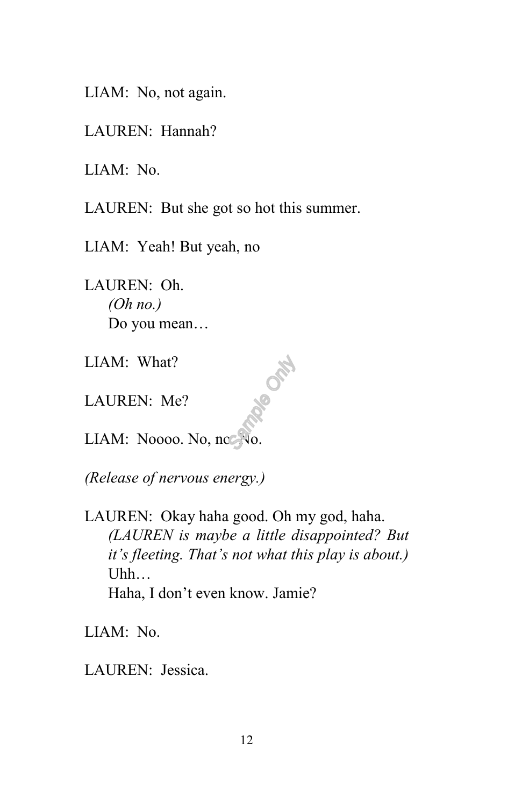LIAM: No, not again.

LAUREN: Hannah?

LIAM: No.

LAUREN: But she got so hot this summer.

LIAM: Yeah! But yeah, no

LAUREN: Oh. *(Oh no.)* Do you mean…

LIAM: What?

LAUREN: Me?

LIAM: Noooo. No, no. No.

*(Release of nervous energy.)*

LAUREN: Okay haha good. Oh my god, haha. *(LAUREN is maybe a little disappointed? But it's fleeting. That's not what this play is about.)* Uhh… Haha, I don't even know. Jamie?

RIPS ONLY

LIAM: No.

LAUREN: Jessica.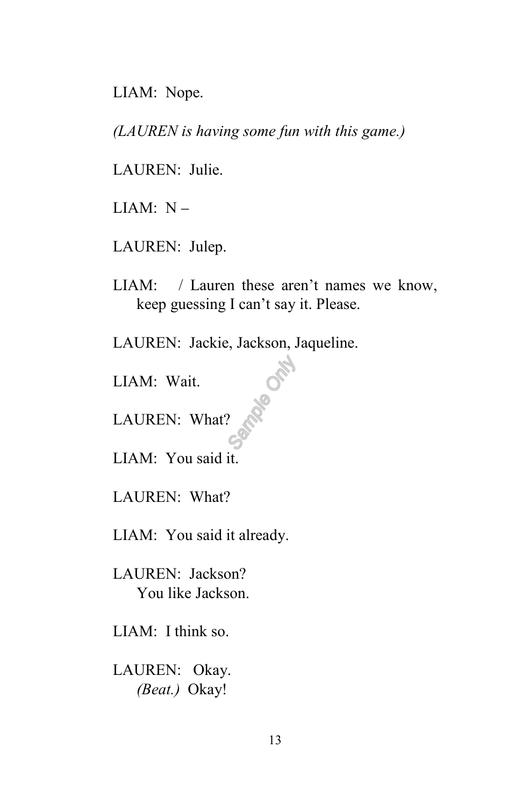LIAM: Nope.

*(LAUREN is having some fun with this game.)*

LAUREN: Julie.

LIAM:  $N -$ 

LAUREN: Julep.

LIAM: / Lauren these aren't names we know, keep guessing I can't say it. Please.

**RAGICAL** 

LAUREN: Jackie, Jackson, Jaqueline.

LIAM: Wait.

LAUREN: What?

LIAM: You said it.

LAUREN: What?

LIAM: You said it already.

LAUREN: Jackson? You like Jackson.

LIAM: I think so.

LAUREN: Okay. *(Beat.)* Okay!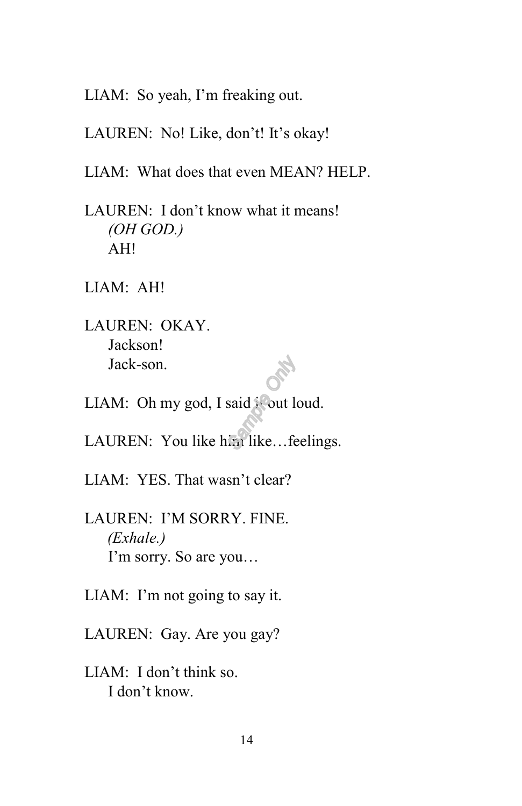LIAM: So yeah, I'm freaking out.

LAUREN: No! Like, don't! It's okay!

LIAM: What does that even MEAN? HELP.

LAUREN: I don't know what it means! *(OH GOD.)* AH!

LIAM: AH!

LAUREN: OKAY. Jackson! Jack-son.

LIAM: Oh my god, I said  $\frac{1}{2}$  out loud.

LAUREN: You like him like...feelings.

LIAM: YES. That wasn't clear?

LAUREN: I'M SORRY. FINE. *(Exhale.)* I'm sorry. So are you…

LIAM: I'm not going to say it.

LAUREN: Gay. Are you gay?

LIAM: I don't think so. I don't know.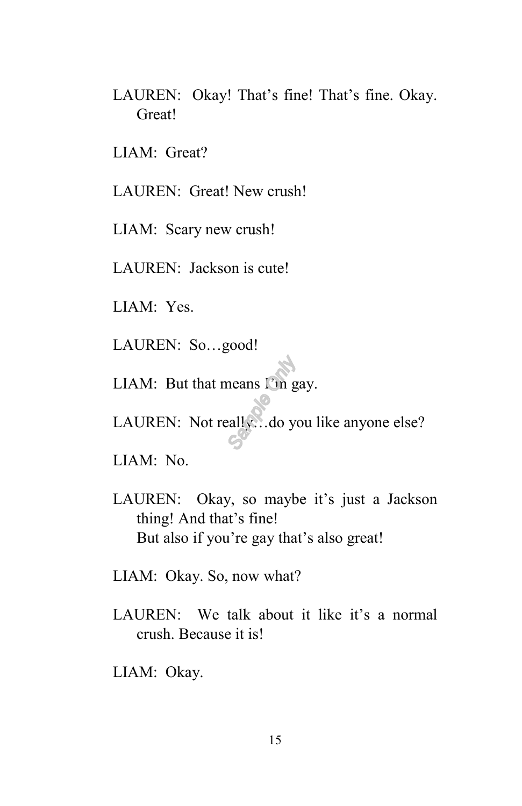LAUREN: Okay! That's fine! That's fine. Okay. Great!

LIAM: Great?

LAUREN: Great! New crush!

LIAM: Scary new crush!

LAUREN: Jackson is cute!

LIAM: Yes.

LAUREN: So…good!

LIAM: But that means I'm gay.

LAUREN: Not really...do you like anyone else?

LIAM: No.

LAUREN: Okay, so maybe it's just a Jackson thing! And that's fine! But also if you're gay that's also great!

LIAM: Okay. So, now what?

LAUREN: We talk about it like it's a normal crush. Because it is!

LIAM: Okay.